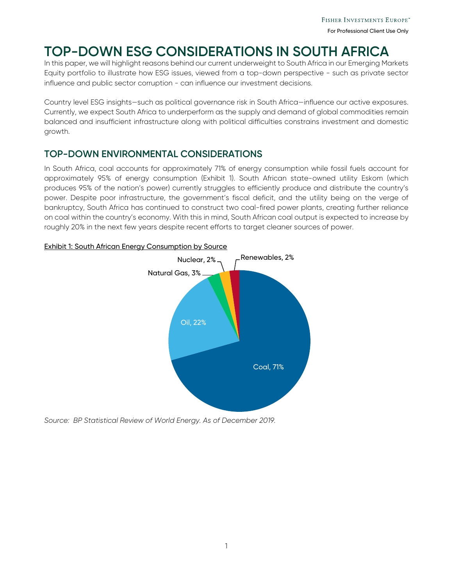# **TOP-DOWN ESG CONSIDERATIONS IN SOUTH AFRICA**

In this paper, we will highlight reasons behind our current underweight to South Africa in our Emerging Markets Equity portfolio to illustrate how ESG issues, viewed from a top-down perspective - such as private sector influence and public sector corruption - can influence our investment decisions.

Country level ESG insights—such as political governance risk in South Africa—influence our active exposures. Currently, we expect South Africa to underperform as the supply and demand of global commodities remain balanced and insufficient infrastructure along with political difficulties constrains investment and domestic growth.

### **TOP-DOWN ENVIRONMENTAL CONSIDERATIONS**

In South Africa, coal accounts for approximately 71% of energy consumption while fossil fuels account for approximately 95% of energy consumption (Exhibit 1). South African state-owned utility Eskom (which produces 95% of the nation's power) currently struggles to efficiently produce and distribute the country's power. Despite poor infrastructure, the government's fiscal deficit, and the utility being on the verge of bankruptcy, South Africa has continued to construct two coal-fired power plants, creating further reliance on coal within the country's economy. With this in mind, South African coal output is expected to increase by roughly 20% in the next few years despite recent efforts to target cleaner sources of power.



### Exhibit 1: South African Energy Consumption by Source

*Source: BP Statistical Review of World Energy. As of December 2019.*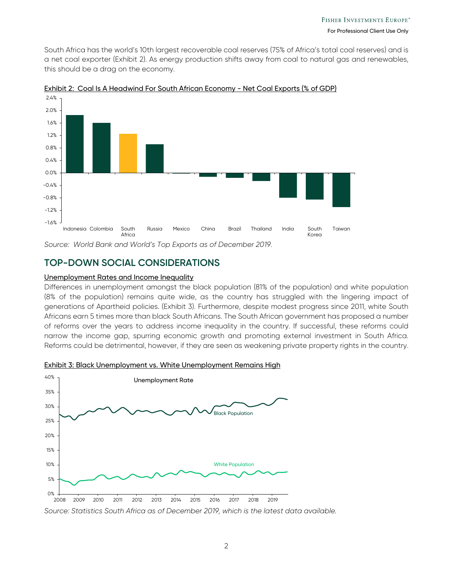South Africa has the world's 10th largest recoverable coal reserves (75% of Africa's total coal reserves) and is a net coal exporter (Exhibit 2). As energy production shifts away from coal to natural gas and renewables, this should be a drag on the economy.



Exhibit 2: Coal Is A Headwind For South African Economy - Net Coal Exports (% of GDP)

Source: World Bank and World's Top Exports as of December 2019.

### **TOP-DOWN SOCIAL CONSIDERATIONS**

#### Unemployment Rates and Income Inequality

Differences in unemployment amongst the black population (81% of the population) and white population (8% of the population) remains quite wide, as the country has struggled with the lingering impact of generations of Apartheid policies. (Exhibit 3). Furthermore, despite modest progress since 2011, white South Africans earn 5 times more than black South Africans. The South African government has proposed a number of reforms over the years to address income inequality in the country. If successful, these reforms could narrow the income gap, spurring economic growth and promoting external investment in South Africa. Reforms could be detrimental, however, if they are seen as weakening private property rights in the country.



Exhibit 3: Black Unemployment vs. White Unemployment Remains High

*Source: Statistics South Africa as of December 2019, which is the latest data available.*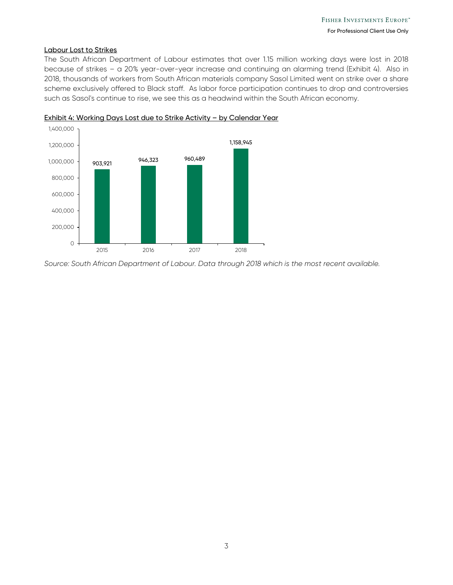#### Labour Lost to Strikes

The South African Department of Labour estimates that over 1.15 million working days were lost in 2018 because of strikes – a 20% year-over-year increase and continuing an alarming trend (Exhibit 4). Also in 2018, thousands of workers from South African materials company Sasol Limited went on strike over a share scheme exclusively offered to Black staff. As labor force participation continues to drop and controversies such as Sasol's continue to rise, we see this as a headwind within the South African economy.





*Source: South African Department of Labour. Data through 2018 which is the most recent available.*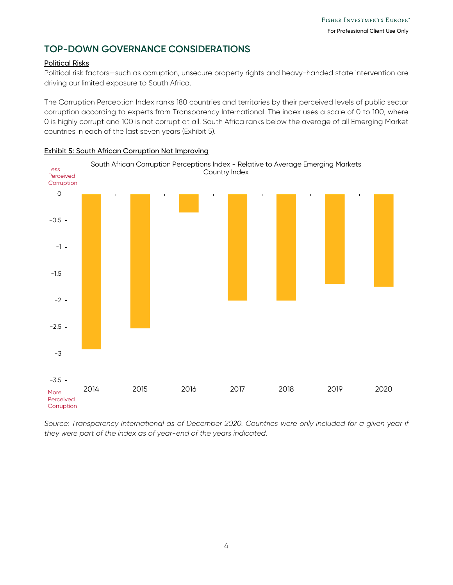### **TOP-DOWN GOVERNANCE CONSIDERATIONS**

#### Political Risks

Political risk factors—such as corruption, unsecure property rights and heavy-handed state intervention are driving our limited exposure to South Africa.

The Corruption Perception Index ranks 180 countries and territories by their perceived levels of public sector corruption according to experts from Transparency International. The index uses a scale of 0 to 100, where 0 is highly corrupt and 100 is not corrupt at all. South Africa ranks below the average of all Emerging Market countries in each of the last seven years (Exhibit 5).



Exhibit 5: South African Corruption Not Improving

Source: Transparency International as of December 2020. Countries were only included for a given year if *they were part of the index as of year-end of the years indicated.*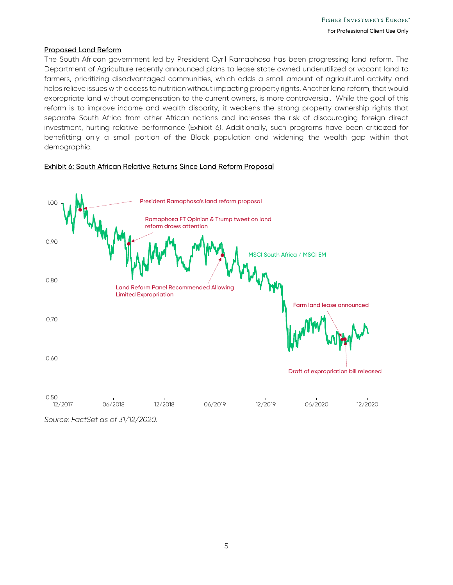#### Proposed Land Reform

The South African government led by President Cyril Ramaphosa has been progressing land reform. The Department of Agriculture recently announced plans to lease state owned underutilized or vacant land to farmers, prioritizing disadvantaged communities, which adds a small amount of agricultural activity and helps relieve issues with access to nutrition without impacting property rights. Another land reform, that would expropriate land without compensation to the current owners, is more controversial. While the goal of this reform is to improve income and wealth disparity, it weakens the strong property ownership rights that separate South Africa from other African nations and increases the risk of discouraging foreign direct investment, hurting relative performance (Exhibit 6). Additionally, such programs have been criticized for benefitting only a small portion of the Black population and widening the wealth gap within that demographic.





*Source: FactSet as of 31/12/2020.*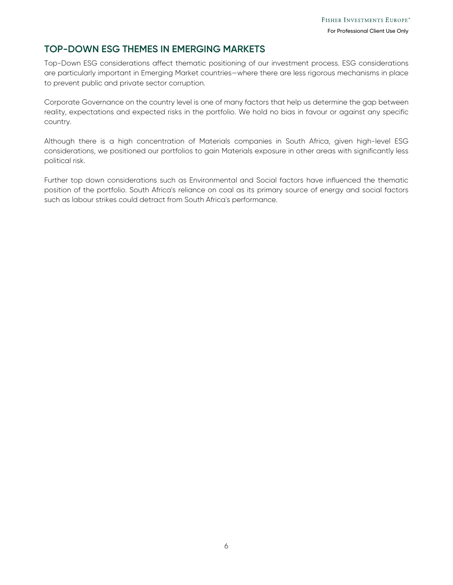### **TOP-DOWN ESG THEMES IN EMERGING MARKETS**

Top-Down ESG considerations affect thematic positioning of our investment process. ESG considerations are particularly important in Emerging Market countries—where there are less rigorous mechanisms in place to prevent public and private sector corruption.

Corporate Governance on the country level is one of many factors that help us determine the gap between reality, expectations and expected risks in the portfolio. We hold no bias in favour or against any specific country.

Although there is a high concentration of Materials companies in South Africa, given high-level ESG considerations, we positioned our portfolios to gain Materials exposure in other areas with significantly less political risk.

Further top down considerations such as Environmental and Social factors have influenced the thematic position of the portfolio. South Africa's reliance on coal as its primary source of energy and social factors such as labour strikes could detract from South Africa's performance.